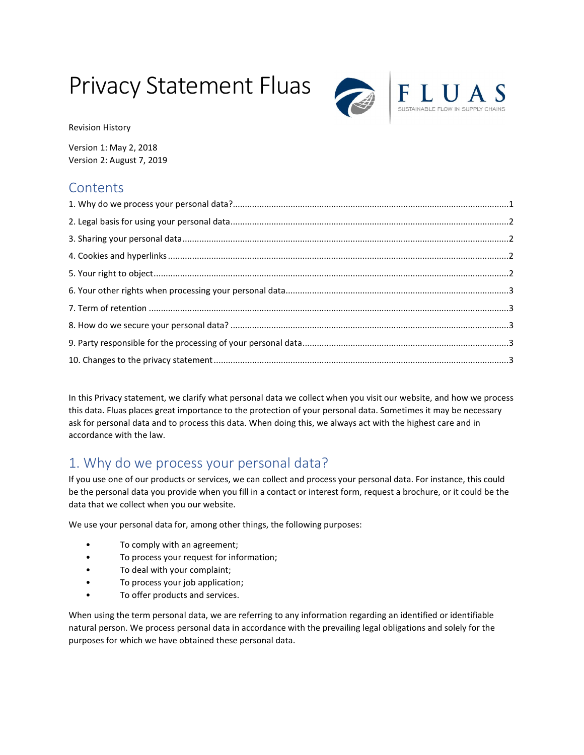# Privacy Statement Fluas



Revision History

Version 1: May 2, 2018 Version 2: August 7, 2019

## **Contents**

In this Privacy statement, we clarify what personal data we collect when you visit our website, and how we process this data. Fluas places great importance to the protection of your personal data. Sometimes it may be necessary ask for personal data and to process this data. When doing this, we always act with the highest care and in accordance with the law.

# 1. Why do we process your personal data?

If you use one of our products or services, we can collect and process your personal data. For instance, this could be the personal data you provide when you fill in a contact or interest form, request a brochure, or it could be the data that we collect when you our website.

We use your personal data for, among other things, the following purposes:

- To comply with an agreement;
- To process your request for information;
- To deal with your complaint;
- To process your job application;
- To offer products and services.

When using the term personal data, we are referring to any information regarding an identified or identifiable natural person. We process personal data in accordance with the prevailing legal obligations and solely for the purposes for which we have obtained these personal data.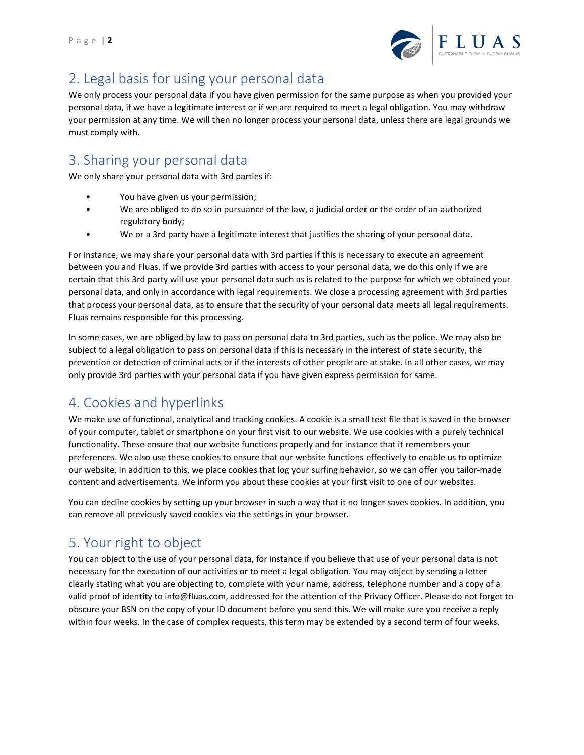

# 2. Legal basis for using your personal data

We only process your personal data if you have given permission for the same purpose as when you provided your personal data, if we have a legitimate interest or if we are required to meet a legal obligation. You may withdraw your permission at any time. We will then no longer process your personal data, unless there are legal grounds we must comply with.

#### 3. Sharing your personal data

We only share your personal data with 3rd parties if:

- You have given us your permission;
- We are obliged to do so in pursuance of the law, a judicial order or the order of an authorized regulatory body;
- We or a 3rd party have a legitimate interest that justifies the sharing of your personal data.

For instance, we may share your personal data with 3rd parties if this is necessary to execute an agreement between you and Fluas. If we provide 3rd parties with access to your personal data, we do this only if we are certain that this 3rd party will use your personal data such as is related to the purpose for which we obtained your personal data, and only in accordance with legal requirements. We close a processing agreement with 3rd parties that process your personal data, as to ensure that the security of your personal data meets all legal requirements. Fluas remains responsible for this processing.

In some cases, we are obliged by law to pass on personal data to 3rd parties, such as the police. We may also be subject to a legal obligation to pass on personal data if this is necessary in the interest of state security, the prevention or detection of criminal acts or if the interests of other people are at stake. In all other cases, we may only provide 3rd parties with your personal data if you have given express permission for same.

## 4. Cookies and hyperlinks

We make use of functional, analytical and tracking cookies. A cookie is a small text file that is saved in the browser of your computer, tablet or smartphone on your first visit to our website. We use cookies with a purely technical functionality. These ensure that our website functions properly and for instance that it remembers your preferences. We also use these cookies to ensure that our website functions effectively to enable us to optimize our website. In addition to this, we place cookies that log your surfing behavior, so we can offer you tailor-made content and advertisements. We inform you about these cookies at your first visit to one of our websites.

You can decline cookies by setting up your browser in such a way that it no longer saves cookies. In addition, you can remove all previously saved cookies via the settings in your browser.

## 5. Your right to object

You can object to the use of your personal data, for instance if you believe that use of your personal data is not necessary for the execution of our activities or to meet a legal obligation. You may object by sending a letter clearly stating what you are objecting to, complete with your name, address, telephone number and a copy of a valid proof of identity to info@fluas.com, addressed for the attention of the Privacy Officer. Please do not forget to obscure your BSN on the copy of your ID document before you send this. We will make sure you receive a reply within four weeks. In the case of complex requests, this term may be extended by a second term of four weeks.